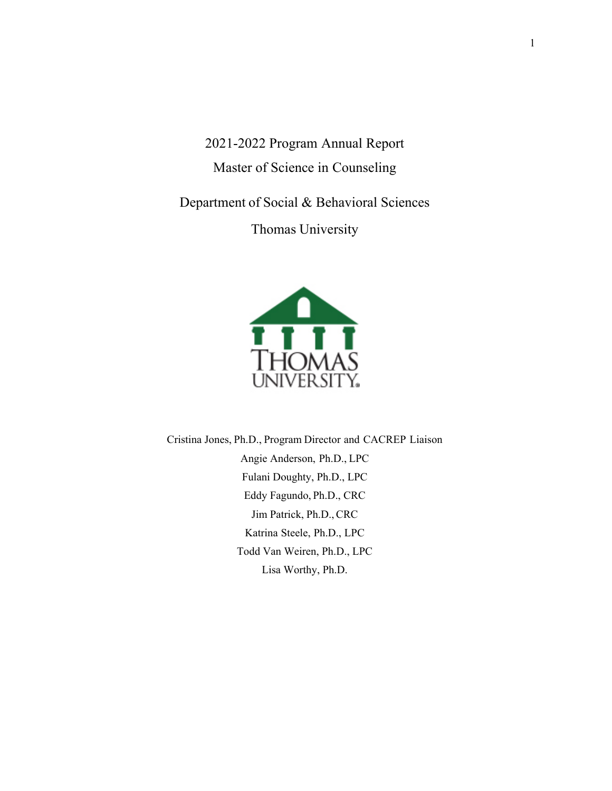2021-2022 Program Annual Report Master of Science in Counseling

Department of Social & Behavioral Sciences

Thomas University



Cristina Jones, Ph.D., Program Director and CACREP Liaison Angie Anderson, Ph.D., LPC Fulani Doughty, Ph.D., LPC Eddy Fagundo, Ph.D., CRC Jim Patrick, Ph.D., CRC Katrina Steele, Ph.D., LPC Todd Van Weiren, Ph.D., LPC Lisa Worthy, Ph.D.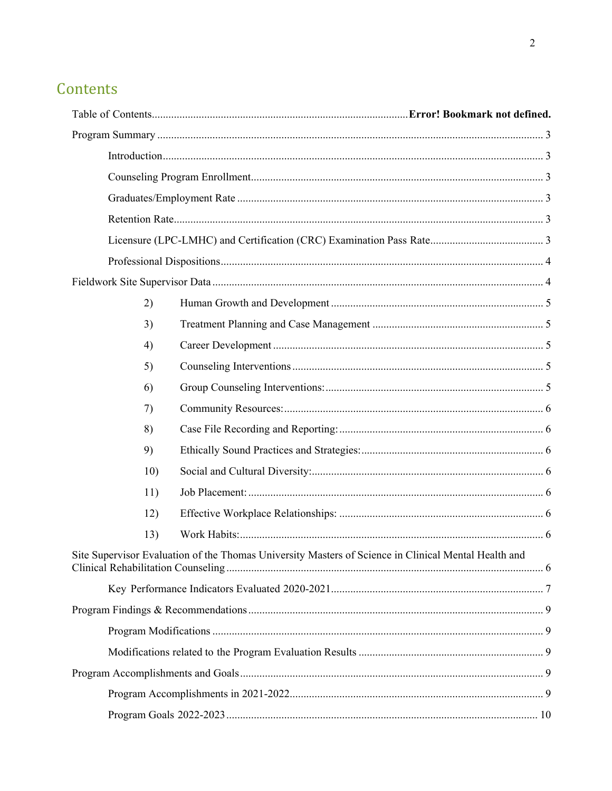# Contents

| 2)  |                                                                                                      |  |  |  |  |
|-----|------------------------------------------------------------------------------------------------------|--|--|--|--|
| 3)  |                                                                                                      |  |  |  |  |
| 4)  |                                                                                                      |  |  |  |  |
| 5)  |                                                                                                      |  |  |  |  |
| 6)  |                                                                                                      |  |  |  |  |
| 7)  |                                                                                                      |  |  |  |  |
| 8)  |                                                                                                      |  |  |  |  |
| 9)  |                                                                                                      |  |  |  |  |
| 10) |                                                                                                      |  |  |  |  |
| 11) |                                                                                                      |  |  |  |  |
| 12) |                                                                                                      |  |  |  |  |
| 13) |                                                                                                      |  |  |  |  |
|     | Site Supervisor Evaluation of the Thomas University Masters of Science in Clinical Mental Health and |  |  |  |  |
|     |                                                                                                      |  |  |  |  |
|     |                                                                                                      |  |  |  |  |
|     |                                                                                                      |  |  |  |  |
|     |                                                                                                      |  |  |  |  |
|     |                                                                                                      |  |  |  |  |
|     |                                                                                                      |  |  |  |  |
|     |                                                                                                      |  |  |  |  |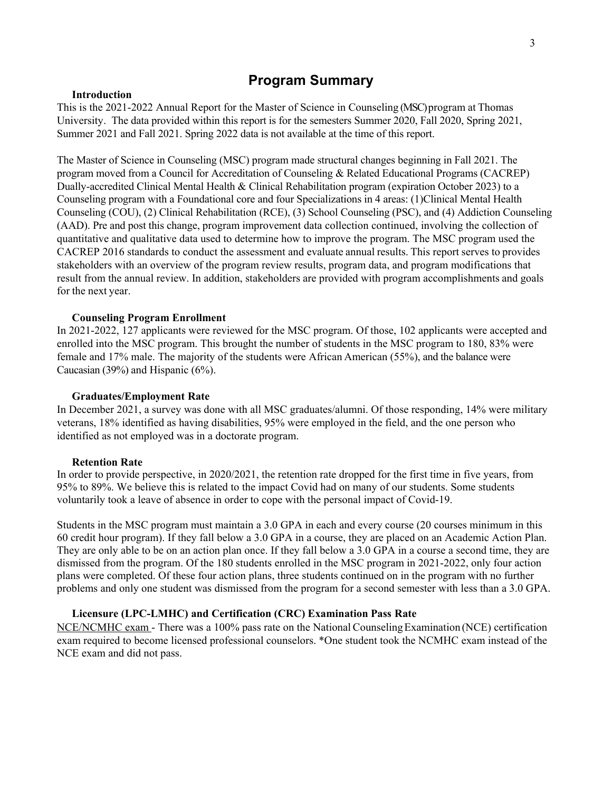### **Program Summary**

#### **Introduction**

This is the 2021-2022 Annual Report for the Master of Science in Counseling (MSC) program at Thomas University. The data provided within this report is for the semesters Summer 2020, Fall 2020, Spring 2021, Summer 2021 and Fall 2021. Spring 2022 data is not available at the time of this report.

The Master of Science in Counseling (MSC) program made structural changes beginning in Fall 2021. The program moved from a Council for Accreditation of Counseling & Related Educational Programs (CACREP) Dually-accredited Clinical Mental Health & Clinical Rehabilitation program (expiration October 2023) to a Counseling program with a Foundational core and four Specializations in 4 areas: (1)Clinical Mental Health Counseling (COU), (2) Clinical Rehabilitation (RCE), (3) School Counseling (PSC), and (4) Addiction Counseling (AAD). Pre and post this change, program improvement data collection continued, involving the collection of quantitative and qualitative data used to determine how to improve the program. The MSC program used the CACREP 2016 standards to conduct the assessment and evaluate annual results. This report serves to provides stakeholders with an overview of the program review results, program data, and program modifications that result from the annual review. In addition, stakeholders are provided with program accomplishments and goals for the next year.

#### **Counseling Program Enrollment**

In 2021-2022, 127 applicants were reviewed for the MSC program. Of those, 102 applicants were accepted and enrolled into the MSC program. This brought the number of students in the MSC program to 180, 83% were female and 17% male. The majority of the students were African American (55%), and the balance were Caucasian (39%) and Hispanic (6%).

#### **Graduates/Employment Rate**

In December 2021, a survey was done with all MSC graduates/alumni. Of those responding, 14% were military veterans, 18% identified as having disabilities, 95% were employed in the field, and the one person who identified as not employed was in a doctorate program.

#### **Retention Rate**

In order to provide perspective, in 2020/2021, the retention rate dropped for the first time in five years, from 95% to 89%. We believe this is related to the impact Covid had on many of our students. Some students voluntarily took a leave of absence in order to cope with the personal impact of Covid-19.

Students in the MSC program must maintain a 3.0 GPA in each and every course (20 courses minimum in this 60 credit hour program). If they fall below a 3.0 GPA in a course, they are placed on an Academic Action Plan. They are only able to be on an action plan once. If they fall below a 3.0 GPA in a course a second time, they are dismissed from the program. Of the 180 students enrolled in the MSC program in 2021-2022, only four action plans were completed. Of these four action plans, three students continued on in the program with no further problems and only one student was dismissed from the program for a second semester with less than a 3.0 GPA.

#### **Licensure (LPC-LMHC) and Certification (CRC) Examination Pass Rate**

NCE/NCMHC exam - There was a 100% pass rate on the National Counseling Examination (NCE) certification exam required to become licensed professional counselors. \*One student took the NCMHC exam instead of the NCE exam and did not pass.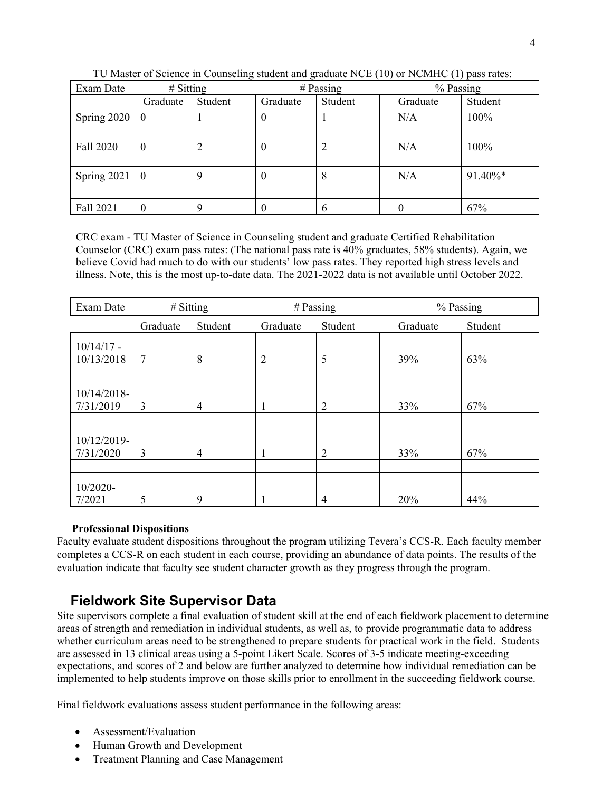| Exam Date     | $#$ Sitting    |         | $#$ Passing |         | % Passing |          |         |
|---------------|----------------|---------|-------------|---------|-----------|----------|---------|
|               | Graduate       | Student | Graduate    | Student |           | Graduate | Student |
| Spring 2020   | $\theta$       |         | 0           |         |           | N/A      | 100%    |
|               |                |         |             |         |           |          |         |
| Fall 2020     | $\theta$       | 2       | $\theta$    | 2       |           | N/A      | 100%    |
|               |                |         |             |         |           |          |         |
| Spring $2021$ | $\overline{0}$ | 9       | $\theta$    | 8       |           | N/A      | 91.40%* |
|               |                |         |             |         |           |          |         |
| Fall 2021     |                | 9       | 0           | 6       |           | U        | 67%     |

TU Master of Science in Counseling student and graduate NCE (10) or NCMHC (1) pass rates:

CRC exam - TU Master of Science in Counseling student and graduate Certified Rehabilitation Counselor (CRC) exam pass rates: (The national pass rate is 40% graduates, 58% students). Again, we believe Covid had much to do with our students' low pass rates. They reported high stress levels and illness. Note, this is the most up-to-date data. The 2021-2022 data is not available until October 2022.

| Exam Date                   | # Sitting |                |                | $#$ Passing    | % Passing |         |
|-----------------------------|-----------|----------------|----------------|----------------|-----------|---------|
|                             | Graduate  | Student        | Graduate       | Student        | Graduate  | Student |
| $10/14/17$ -<br>10/13/2018  | 7         | 8              | $\overline{2}$ | 5              | 39%       | 63%     |
| $10/14/2018$ -<br>7/31/2019 | 3         | 4              | 1              | $\overline{2}$ | 33%       | 67%     |
| 10/12/2019-<br>7/31/2020    | 3         | $\overline{4}$ | 1              | $\overline{2}$ | 33%       | 67%     |
| 10/2020-<br>7/2021          | 5         | 9              |                | 4              | 20%       | 44%     |

#### **Professional Dispositions**

Faculty evaluate student dispositions throughout the program utilizing Tevera's CCS-R. Each faculty member completes a CCS-R on each student in each course, providing an abundance of data points. The results of the evaluation indicate that faculty see student character growth as they progress through the program.

## **Fieldwork Site Supervisor Data**

Site supervisors complete a final evaluation of student skill at the end of each fieldwork placement to determine areas of strength and remediation in individual students, as well as, to provide programmatic data to address whether curriculum areas need to be strengthened to prepare students for practical work in the field. Students are assessed in 13 clinical areas using a 5-point Likert Scale. Scores of 3-5 indicate meeting-exceeding expectations, and scores of 2 and below are further analyzed to determine how individual remediation can be implemented to help students improve on those skills prior to enrollment in the succeeding fieldwork course.

Final fieldwork evaluations assess student performance in the following areas:

- Assessment/Evaluation
- Human Growth and Development
- Treatment Planning and Case Management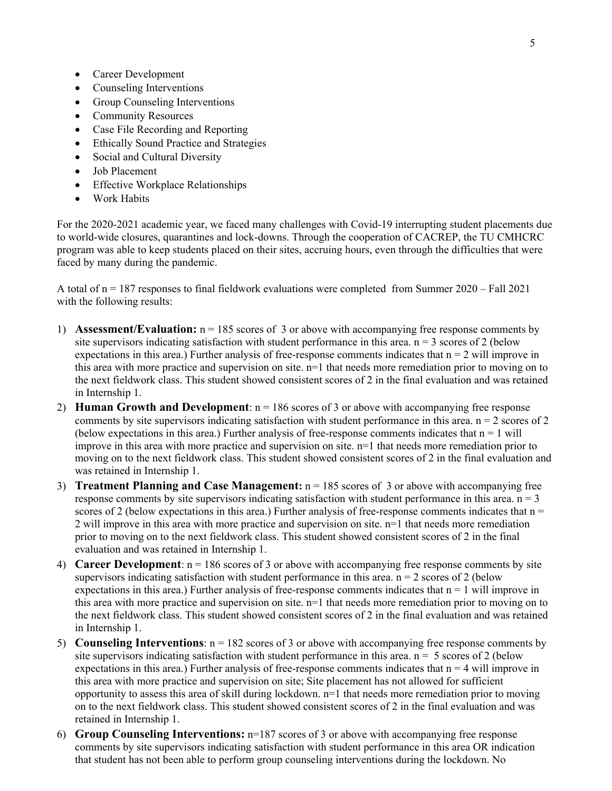- Career Development
- Counseling Interventions
- Group Counseling Interventions
- Community Resources
- Case File Recording and Reporting
- Ethically Sound Practice and Strategies
- Social and Cultural Diversity
- Job Placement
- Effective Workplace Relationships
- Work Habits

For the 2020-2021 academic year, we faced many challenges with Covid-19 interrupting student placements due to world-wide closures, quarantines and lock-downs. Through the cooperation of CACREP, the TU CMHCRC program was able to keep students placed on their sites, accruing hours, even through the difficulties that were faced by many during the pandemic.

A total of  $n = 187$  responses to final fieldwork evaluations were completed from Summer 2020 – Fall 2021 with the following results:

- 1) **Assessment/Evaluation:** n = 185 scores of 3 or above with accompanying free response comments by site supervisors indicating satisfaction with student performance in this area.  $n = 3$  scores of 2 (below expectations in this area.) Further analysis of free-response comments indicates that  $n = 2$  will improve in this area with more practice and supervision on site. n=1 that needs more remediation prior to moving on to the next fieldwork class. This student showed consistent scores of 2 in the final evaluation and was retained in Internship 1.
- 2) **Human Growth and Development**:  $n = 186$  scores of 3 or above with accompanying free response comments by site supervisors indicating satisfaction with student performance in this area.  $n = 2$  scores of 2 (below expectations in this area.) Further analysis of free-response comments indicates that  $n = 1$  will improve in this area with more practice and supervision on site. n=1 that needs more remediation prior to moving on to the next fieldwork class. This student showed consistent scores of 2 in the final evaluation and was retained in Internship 1.
- 3) **Treatment Planning and Case Management:** n = 185 scores of 3 or above with accompanying free response comments by site supervisors indicating satisfaction with student performance in this area.  $n = 3$ scores of 2 (below expectations in this area.) Further analysis of free-response comments indicates that  $n =$ 2 will improve in this area with more practice and supervision on site. n=1 that needs more remediation prior to moving on to the next fieldwork class. This student showed consistent scores of 2 in the final evaluation and was retained in Internship 1.
- 4) **Career Development**:  $n = 186$  scores of 3 or above with accompanying free response comments by site supervisors indicating satisfaction with student performance in this area.  $n = 2$  scores of 2 (below expectations in this area.) Further analysis of free-response comments indicates that  $n = 1$  will improve in this area with more practice and supervision on site. n=1 that needs more remediation prior to moving on to the next fieldwork class. This student showed consistent scores of 2 in the final evaluation and was retained in Internship 1.
- 5) **Counseling Interventions**: n = 182 scores of 3 or above with accompanying free response comments by site supervisors indicating satisfaction with student performance in this area.  $n = 5$  scores of 2 (below expectations in this area.) Further analysis of free-response comments indicates that  $n = 4$  will improve in this area with more practice and supervision on site; Site placement has not allowed for sufficient opportunity to assess this area of skill during lockdown.  $n=1$  that needs more remediation prior to moving on to the next fieldwork class. This student showed consistent scores of 2 in the final evaluation and was retained in Internship 1.
- 6) **Group Counseling Interventions:** n=187 scores of 3 or above with accompanying free response comments by site supervisors indicating satisfaction with student performance in this area OR indication that student has not been able to perform group counseling interventions during the lockdown. No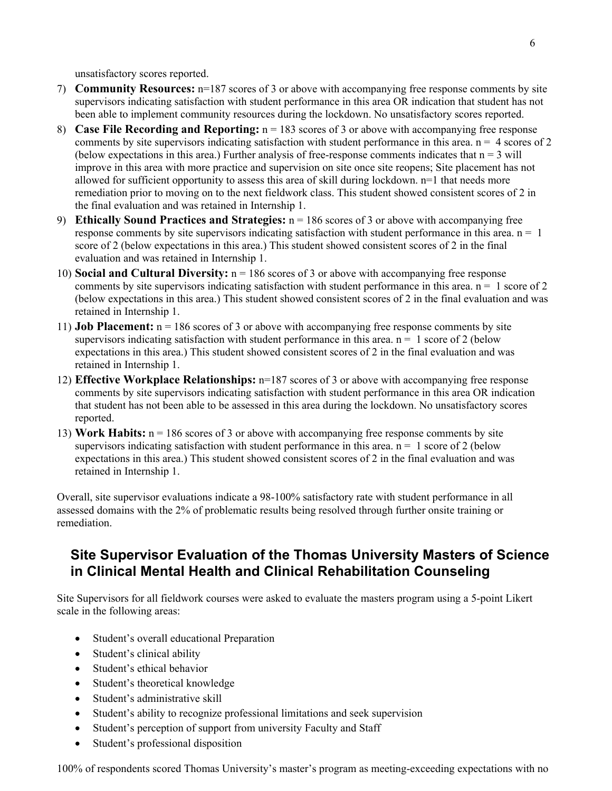unsatisfactory scores reported.

- 7) **Community Resources:** n=187 scores of 3 or above with accompanying free response comments by site supervisors indicating satisfaction with student performance in this area OR indication that student has not been able to implement community resources during the lockdown. No unsatisfactory scores reported.
- 8) **Case File Recording and Reporting:** n = 183 scores of 3 or above with accompanying free response comments by site supervisors indicating satisfaction with student performance in this area.  $n = 4$  scores of 2 (below expectations in this area.) Further analysis of free-response comments indicates that  $n = 3$  will improve in this area with more practice and supervision on site once site reopens; Site placement has not allowed for sufficient opportunity to assess this area of skill during lockdown. n=1 that needs more remediation prior to moving on to the next fieldwork class. This student showed consistent scores of 2 in the final evaluation and was retained in Internship 1.
- 9) **Ethically Sound Practices and Strategies:** n = 186 scores of 3 or above with accompanying free response comments by site supervisors indicating satisfaction with student performance in this area.  $n = 1$ score of 2 (below expectations in this area.) This student showed consistent scores of 2 in the final evaluation and was retained in Internship 1.
- 10) **Social and Cultural Diversity:** n = 186 scores of 3 or above with accompanying free response comments by site supervisors indicating satisfaction with student performance in this area.  $n = 1$  score of 2 (below expectations in this area.) This student showed consistent scores of 2 in the final evaluation and was retained in Internship 1.
- 11) **Job Placement:**  $n = 186$  scores of 3 or above with accompanying free response comments by site supervisors indicating satisfaction with student performance in this area.  $n = 1$  score of 2 (below expectations in this area.) This student showed consistent scores of 2 in the final evaluation and was retained in Internship 1.
- 12) **Effective Workplace Relationships:** n=187 scores of 3 or above with accompanying free response comments by site supervisors indicating satisfaction with student performance in this area OR indication that student has not been able to be assessed in this area during the lockdown. No unsatisfactory scores reported.
- 13) **Work Habits:** n = 186 scores of 3 or above with accompanying free response comments by site supervisors indicating satisfaction with student performance in this area.  $n = 1$  score of 2 (below expectations in this area.) This student showed consistent scores of 2 in the final evaluation and was retained in Internship 1.

Overall, site supervisor evaluations indicate a 98-100% satisfactory rate with student performance in all assessed domains with the 2% of problematic results being resolved through further onsite training or remediation.

## **Site Supervisor Evaluation of the Thomas University Masters of Science in Clinical Mental Health and Clinical Rehabilitation Counseling**

Site Supervisors for all fieldwork courses were asked to evaluate the masters program using a 5-point Likert scale in the following areas:

- Student's overall educational Preparation
- Student's clinical ability
- Student's ethical behavior
- Student's theoretical knowledge
- Student's administrative skill
- Student's ability to recognize professional limitations and seek supervision
- Student's perception of support from university Faculty and Staff
- Student's professional disposition

100% of respondents scored Thomas University's master's program as meeting-exceeding expectations with no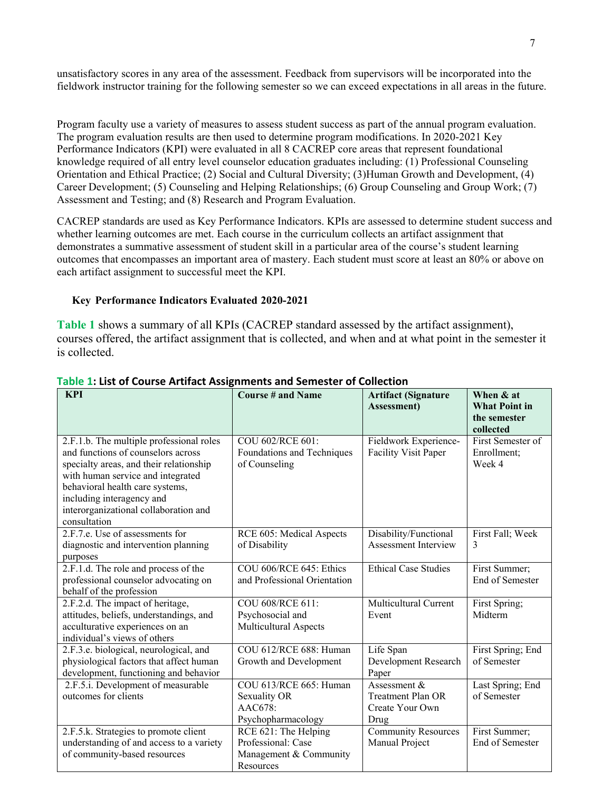unsatisfactory scores in any area of the assessment. Feedback from supervisors will be incorporated into the fieldwork instructor training for the following semester so we can exceed expectations in all areas in the future.

Program faculty use a variety of measures to assess student success as part of the annual program evaluation. The program evaluation results are then used to determine program modifications. In 2020-2021 Key Performance Indicators (KPI) were evaluated in all 8 CACREP core areas that represent foundational knowledge required of all entry level counselor education graduates including: (1) Professional Counseling Orientation and Ethical Practice; (2) Social and Cultural Diversity; (3)Human Growth and Development, (4) Career Development; (5) Counseling and Helping Relationships; (6) Group Counseling and Group Work; (7) Assessment and Testing; and (8) Research and Program Evaluation.

CACREP standards are used as Key Performance Indicators. KPIs are assessed to determine student success and whether learning outcomes are met. Each course in the curriculum collects an artifact assignment that demonstrates a summative assessment of student skill in a particular area of the course's student learning outcomes that encompasses an important area of mastery. Each student must score at least an 80% or above on each artifact assignment to successful meet the KPI.

#### **Key Performance Indicators Evaluated 2020-2021**

**Table 1** shows a summary of all KPIs (CACREP standard assessed by the artifact assignment), courses offered, the artifact assignment that is collected, and when and at what point in the semester it is collected.

| <b>KPI</b>                                                                                                                                                                                                                                                                              | <b>Course # and Name</b>                                                          | <b>Artifact (Signature</b><br>Assessment)                             | When & at<br><b>What Point in</b><br>the semester<br>collected |
|-----------------------------------------------------------------------------------------------------------------------------------------------------------------------------------------------------------------------------------------------------------------------------------------|-----------------------------------------------------------------------------------|-----------------------------------------------------------------------|----------------------------------------------------------------|
| 2.F.1.b. The multiple professional roles<br>and functions of counselors across<br>specialty areas, and their relationship<br>with human service and integrated<br>behavioral health care systems,<br>including interagency and<br>interorganizational collaboration and<br>consultation | COU 602/RCE 601:<br>Foundations and Techniques<br>of Counseling                   | Fieldwork Experience-<br>Facility Visit Paper                         | First Semester of<br>Enrollment;<br>Week 4                     |
| 2.F.7.e. Use of assessments for<br>diagnostic and intervention planning<br>purposes                                                                                                                                                                                                     | RCE 605: Medical Aspects<br>of Disability                                         | Disability/Functional<br><b>Assessment Interview</b>                  | First Fall; Week<br>3                                          |
| 2.F.1.d. The role and process of the<br>professional counselor advocating on<br>behalf of the profession                                                                                                                                                                                | COU 606/RCE 645: Ethics<br>and Professional Orientation                           | <b>Ethical Case Studies</b>                                           | First Summer;<br>End of Semester                               |
| 2.F.2.d. The impact of heritage,<br>attitudes, beliefs, understandings, and<br>acculturative experiences on an<br>individual's views of others                                                                                                                                          | COU 608/RCE 611:<br>Psychosocial and<br><b>Multicultural Aspects</b>              | <b>Multicultural Current</b><br>Event                                 | First Spring;<br>Midterm                                       |
| 2.F.3.e. biological, neurological, and<br>physiological factors that affect human<br>development, functioning and behavior                                                                                                                                                              | COU 612/RCE 688: Human<br>Growth and Development                                  | Life Span<br>Development Research<br>Paper                            | First Spring; End<br>of Semester                               |
| 2.F.5.i. Development of measurable<br>outcomes for clients                                                                                                                                                                                                                              | COU 613/RCE 665: Human<br>Sexuality OR<br>AAC678:<br>Psychopharmacology           | Assessment $&$<br><b>Treatment Plan OR</b><br>Create Your Own<br>Drug | Last Spring; End<br>of Semester                                |
| 2.F.5.k. Strategies to promote client<br>understanding of and access to a variety<br>of community-based resources                                                                                                                                                                       | RCE 621: The Helping<br>Professional: Case<br>Management & Community<br>Resources | <b>Community Resources</b><br>Manual Project                          | First Summer;<br>End of Semester                               |

#### **Table 1: List of Course Artifact Assignments and Semester of Collection**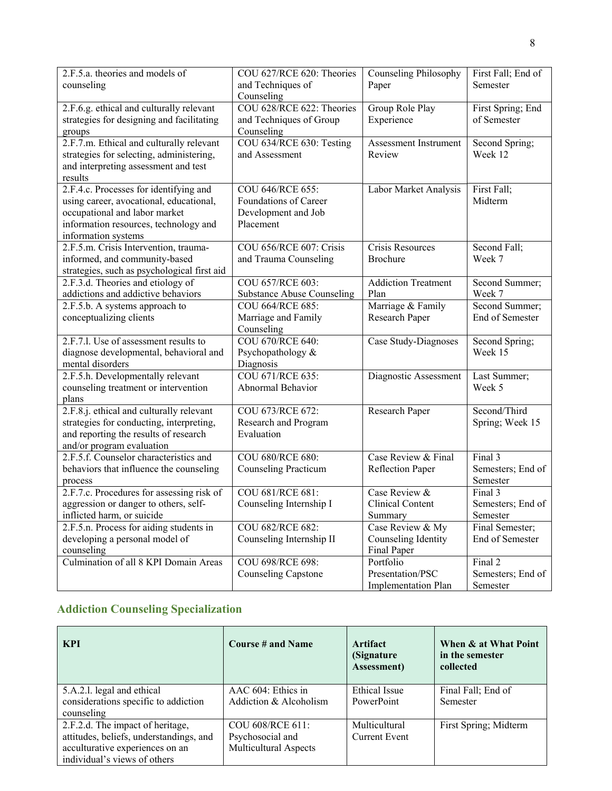| 2.F.5.a. theories and models of<br>counseling                           | COU 627/RCE 620: Theories<br>and Techniques of        | <b>Counseling Philosophy</b><br>Paper | First Fall; End of<br>Semester    |
|-------------------------------------------------------------------------|-------------------------------------------------------|---------------------------------------|-----------------------------------|
|                                                                         | Counseling                                            |                                       |                                   |
| 2.F.6.g. ethical and culturally relevant                                | COU 628/RCE 622: Theories                             | Group Role Play                       | First Spring; End                 |
| strategies for designing and facilitating                               | and Techniques of Group                               | Experience                            | of Semester                       |
| groups                                                                  | Counseling                                            |                                       |                                   |
| 2.F.7.m. Ethical and culturally relevant                                | COU 634/RCE 630: Testing                              | Assessment Instrument                 | Second Spring;                    |
| strategies for selecting, administering,                                | and Assessment                                        | Review                                | Week 12                           |
| and interpreting assessment and test                                    |                                                       |                                       |                                   |
| results                                                                 |                                                       |                                       |                                   |
| 2.F.4.c. Processes for identifying and                                  | COU 646/RCE 655:                                      | Labor Market Analysis                 | First Fall;                       |
| using career, avocational, educational,                                 | Foundations of Career                                 |                                       | Midterm                           |
| occupational and labor market                                           | Development and Job                                   |                                       |                                   |
| information resources, technology and                                   | Placement                                             |                                       |                                   |
| information systems                                                     |                                                       |                                       |                                   |
| 2.F.5.m. Crisis Intervention, trauma-                                   | COU 656/RCE 607: Crisis                               | Crisis Resources                      | Second Fall;                      |
| informed, and community-based                                           | and Trauma Counseling                                 | <b>Brochure</b>                       | Week 7                            |
| strategies, such as psychological first aid                             |                                                       |                                       |                                   |
| 2.F.3.d. Theories and etiology of<br>addictions and addictive behaviors | COU 657/RCE 603:                                      | <b>Addiction Treatment</b>            | Second Summer;                    |
|                                                                         | <b>Substance Abuse Counseling</b><br>COU 664/RCE 685: | Plan                                  | Week 7                            |
| 2.F.5.b. A systems approach to<br>conceptualizing clients               |                                                       | Marriage & Family<br>Research Paper   | Second Summer;<br>End of Semester |
|                                                                         | Marriage and Family<br>Counseling                     |                                       |                                   |
| 2.F.7.l. Use of assessment results to                                   | COU 670/RCE 640:                                      | Case Study-Diagnoses                  | Second Spring;                    |
| diagnose developmental, behavioral and                                  | Psychopathology &                                     |                                       | Week 15                           |
| mental disorders                                                        | Diagnosis                                             |                                       |                                   |
| 2.F.5.h. Developmentally relevant                                       | COU 671/RCE 635:                                      | Diagnostic Assessment                 | Last Summer;                      |
| counseling treatment or intervention                                    | Abnormal Behavior                                     |                                       | Week 5                            |
| plans                                                                   |                                                       |                                       |                                   |
| 2.F.8.j. ethical and culturally relevant                                | COU 673/RCE 672:                                      | Research Paper                        | Second/Third                      |
| strategies for conducting, interpreting,                                | Research and Program                                  |                                       | Spring; Week 15                   |
| and reporting the results of research                                   | Evaluation                                            |                                       |                                   |
| and/or program evaluation                                               |                                                       |                                       |                                   |
| 2.F.5.f. Counselor characteristics and                                  | COU 680/RCE 680:                                      | Case Review & Final                   | Final 3                           |
| behaviors that influence the counseling                                 | <b>Counseling Practicum</b>                           | Reflection Paper                      | Semesters; End of                 |
| process                                                                 |                                                       |                                       | Semester                          |
| 2.F.7.c. Procedures for assessing risk of                               | COU 681/RCE 681:                                      | Case Review $\overline{\&}$           | Final 3                           |
| aggression or danger to others, self-                                   | Counseling Internship I                               | <b>Clinical Content</b>               | Semesters; End of                 |
| inflicted harm, or suicide                                              |                                                       | Summary                               | Semester                          |
| 2.F.5.n. Process for aiding students in                                 | COU 682/RCE 682:                                      | Case Review & My                      | Final Semester;                   |
| developing a personal model of                                          | Counseling Internship II                              | Counseling Identity                   | End of Semester                   |
| counseling                                                              |                                                       | Final Paper                           |                                   |
| Culmination of all 8 KPI Domain Areas                                   | COU 698/RCE 698:                                      | Portfolio                             | Final 2                           |
|                                                                         | <b>Counseling Capstone</b>                            | Presentation/PSC                      | Semesters; End of                 |
|                                                                         |                                                       | Implementation Plan                   | Semester                          |

## **Addiction Counseling Specialization**

| <b>KPI</b>                                                                                                                                     | Course # and Name                                                    | Artifact<br>(Signature)<br><b>Assessment</b> ) | When & at What Point<br>in the semester<br>collected |
|------------------------------------------------------------------------------------------------------------------------------------------------|----------------------------------------------------------------------|------------------------------------------------|------------------------------------------------------|
| 5.A.2.1. legal and ethical<br>considerations specific to addiction<br>counseling                                                               | AAC 604: Ethics in<br>Addiction & Alcoholism                         | Ethical Issue<br>PowerPoint                    | Final Fall; End of<br>Semester                       |
| 2.F.2.d. The impact of heritage,<br>attitudes, beliefs, understandings, and<br>acculturative experiences on an<br>individual's views of others | COU 608/RCE 611:<br>Psychosocial and<br><b>Multicultural Aspects</b> | Multicultural<br>Current Event                 | First Spring; Midterm                                |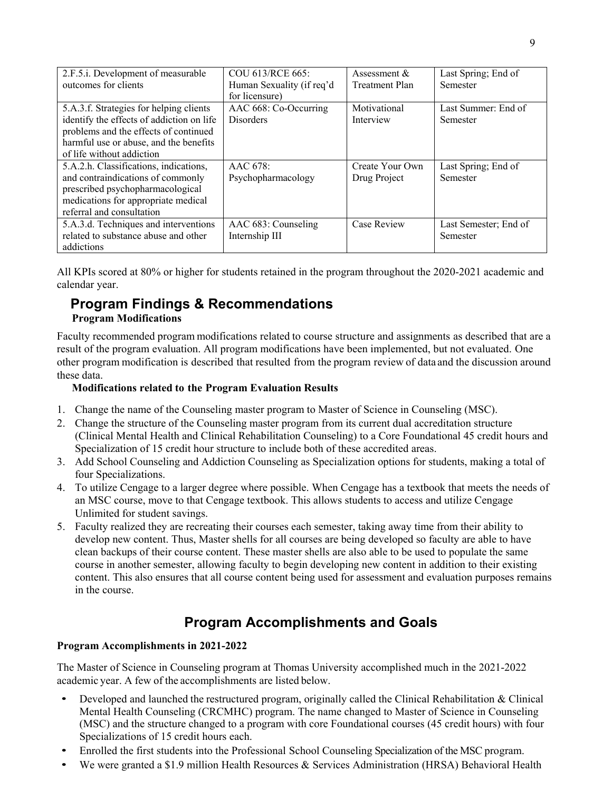| 2.F.5.i. Development of measurable        | COU 613/RCE 665:          | Assessment $&$        | Last Spring; End of   |
|-------------------------------------------|---------------------------|-----------------------|-----------------------|
| outcomes for clients                      | Human Sexuality (if req'd | <b>Treatment Plan</b> | Semester              |
|                                           | for licensure)            |                       |                       |
| 5.A.3.f. Strategies for helping clients   | AAC 668: Co-Occurring     | Motivational          | Last Summer: End of   |
| identify the effects of addiction on life | <b>Disorders</b>          | Interview             | Semester              |
| problems and the effects of continued     |                           |                       |                       |
| harmful use or abuse, and the benefits    |                           |                       |                       |
| of life without addiction                 |                           |                       |                       |
| 5.A.2.h. Classifications, indications,    | AAC 678:                  | Create Your Own       | Last Spring; End of   |
| and contraindications of commonly         | Psychopharmacology        | Drug Project          | Semester              |
| prescribed psychopharmacological          |                           |                       |                       |
| medications for appropriate medical       |                           |                       |                       |
| referral and consultation                 |                           |                       |                       |
| 5.A.3.d. Techniques and interventions     | AAC 683: Counseling       | <b>Case Review</b>    | Last Semester; End of |
| related to substance abuse and other      | Internship III            |                       | Semester              |
| addictions                                |                           |                       |                       |

All KPIs scored at 80% or higher for students retained in the program throughout the 2020-2021 academic and calendar year.

# **Program Findings & Recommendations**

### **Program Modifications**

Faculty recommended program modifications related to course structure and assignments as described that are a result of the program evaluation. All program modifications have been implemented, but not evaluated. One other program modification is described that resulted from the program review of data and the discussion around these data.

### **Modifications related to the Program Evaluation Results**

- 1. Change the name of the Counseling master program to Master of Science in Counseling (MSC).
- 2. Change the structure of the Counseling master program from its current dual accreditation structure (Clinical Mental Health and Clinical Rehabilitation Counseling) to a Core Foundational 45 credit hours and Specialization of 15 credit hour structure to include both of these accredited areas.
- 3. Add School Counseling and Addiction Counseling as Specialization options for students, making a total of four Specializations.
- 4. To utilize Cengage to a larger degree where possible. When Cengage has a textbook that meets the needs of an MSC course, move to that Cengage textbook. This allows students to access and utilize Cengage Unlimited for student savings.
- 5. Faculty realized they are recreating their courses each semester, taking away time from their ability to develop new content. Thus, Master shells for all courses are being developed so faculty are able to have clean backups of their course content. These master shells are also able to be used to populate the same course in another semester, allowing faculty to begin developing new content in addition to their existing content. This also ensures that all course content being used for assessment and evaluation purposes remains in the course.

## **Program Accomplishments and Goals**

### **Program Accomplishments in 2021-2022**

The Master of Science in Counseling program at Thomas University accomplished much in the 2021-2022 academic year. A few of the accomplishments are listed below.

- Developed and launched the restructured program, originally called the Clinical Rehabilitation  $&$  Clinical Mental Health Counseling (CRCMHC) program. The name changed to Master of Science in Counseling (MSC) and the structure changed to a program with core Foundational courses (45 credit hours) with four Specializations of 15 credit hours each.
- Enrolled the first students into the Professional School Counseling Specialization of the MSC program.
- We were granted a \$1.9 million Health Resources & Services Administration (HRSA) Behavioral Health